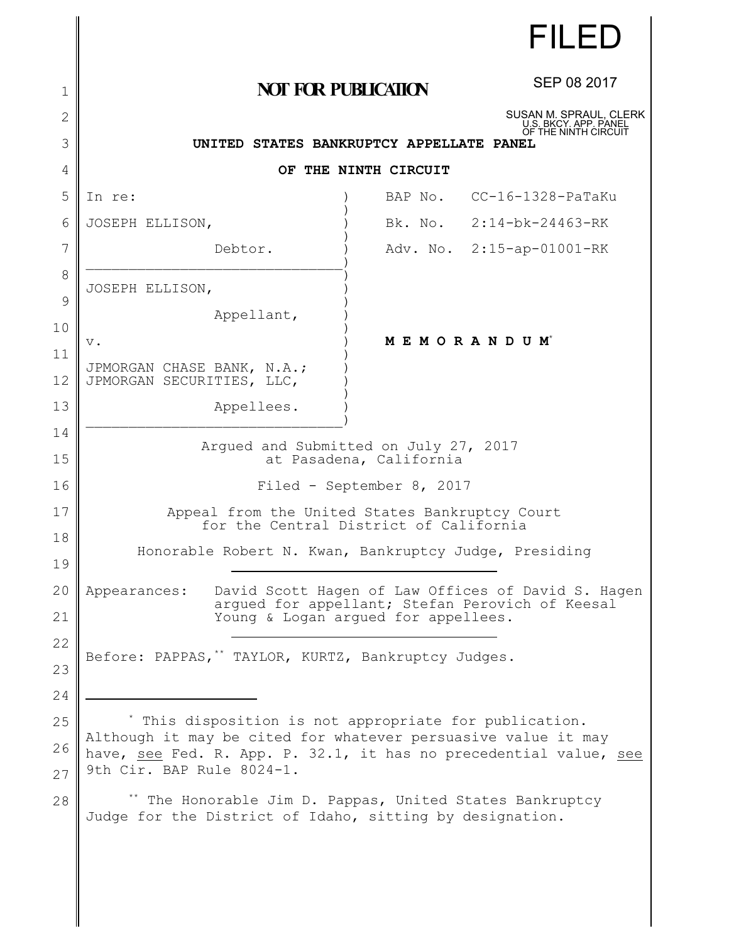|              |                                                                                                                                                                 |         | <b>FILED</b>                                    |
|--------------|-----------------------------------------------------------------------------------------------------------------------------------------------------------------|---------|-------------------------------------------------|
| 1            | <b>NOT FOR PUBLICATION</b>                                                                                                                                      |         | SEP 08 2017                                     |
| $\mathbf{2}$ |                                                                                                                                                                 |         | SUSAN M. SPRAUL, CLERK<br>U.S. BKCY. APP. PANEL |
| 3            | OF THE NINTH CIRCUIT<br>UNITED STATES BANKRUPTCY APPELLATE PANEL                                                                                                |         |                                                 |
| 4            | OF THE NINTH CIRCUIT                                                                                                                                            |         |                                                 |
| 5            | In re:                                                                                                                                                          | BAP No. | $CC-16-1328-PaTaKu$                             |
| 6            | JOSEPH ELLISON,                                                                                                                                                 |         | Bk. No. 2:14-bk-24463-RK                        |
| 7            | Debtor.                                                                                                                                                         |         | Adv. No. 2:15-ap-01001-RK                       |
| 8            | JOSEPH ELLISON,                                                                                                                                                 |         |                                                 |
| 9            | Appellant,                                                                                                                                                      |         |                                                 |
| 10           | $\mathbf v$ .                                                                                                                                                   |         | MEMORANDUM <sup>*</sup>                         |
| 11<br>12     | JPMORGAN CHASE BANK, N.A.;<br>JPMORGAN SECURITIES, LLC,                                                                                                         |         |                                                 |
| 13           | Appellees.                                                                                                                                                      |         |                                                 |
| 14           |                                                                                                                                                                 |         |                                                 |
| 15           | Arqued and Submitted on July 27, 2017<br>at Pasadena, California                                                                                                |         |                                                 |
| 16           | Filed - September 8, 2017                                                                                                                                       |         |                                                 |
| 17           | Appeal from the United States Bankruptcy Court<br>for the Central District of California                                                                        |         |                                                 |
| 18<br>19     | Honorable Robert N. Kwan, Bankruptcy Judge, Presiding                                                                                                           |         |                                                 |
| 20           | David Scott Hagen of Law Offices of David S. Hagen<br>Appearances:<br>argued for appellant; Stefan Perovich of Keesal<br>Young & Logan argued for appellees.    |         |                                                 |
| 21           |                                                                                                                                                                 |         |                                                 |
| 22           | Before: PAPPAS, ** TAYLOR, KURTZ, Bankruptcy Judges.                                                                                                            |         |                                                 |
| 23           |                                                                                                                                                                 |         |                                                 |
| 24           |                                                                                                                                                                 |         |                                                 |
| 25           | This disposition is not appropriate for publication.                                                                                                            |         |                                                 |
| 26<br>27     | Although it may be cited for whatever persuasive value it may<br>have, see Fed. R. App. P. 32.1, it has no precedential value, see<br>9th Cir. BAP Rule 8024-1. |         |                                                 |
| 28           | The Honorable Jim D. Pappas, United States Bankruptcy<br>Judge for the District of Idaho, sitting by designation.                                               |         |                                                 |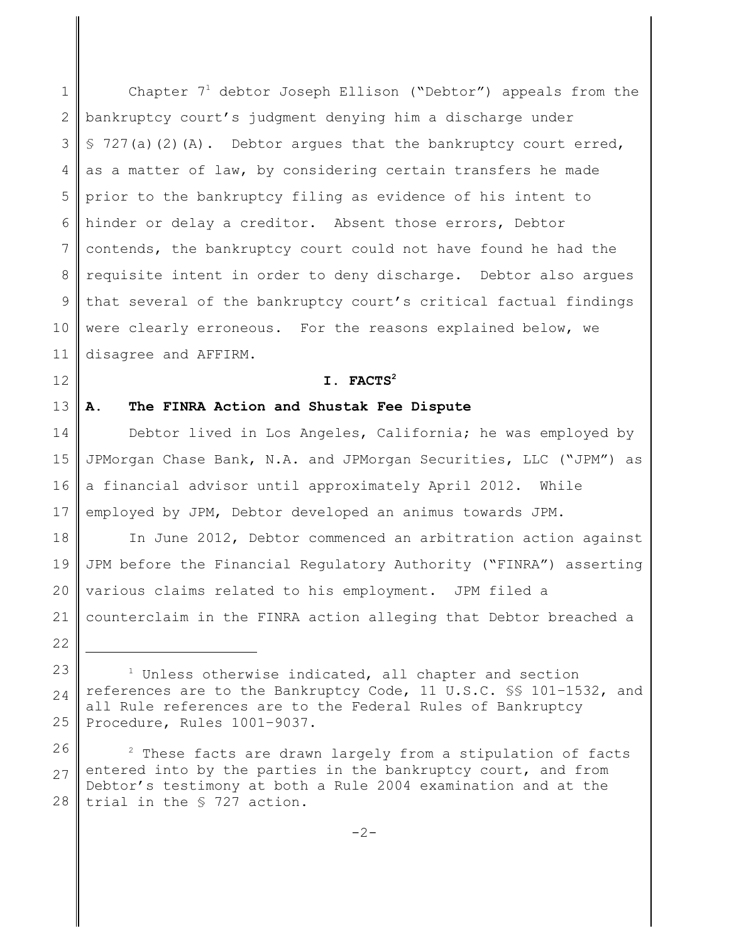1 2 3 4 5 6 7 8 9 10 11 Chapter  $7<sup>1</sup>$  debtor Joseph Ellison ("Debtor") appeals from the bankruptcy court's judgment denying him a discharge under  $$ 727(a)(2)(A).$  Debtor argues that the bankruptcy court erred, as a matter of law, by considering certain transfers he made prior to the bankruptcy filing as evidence of his intent to hinder or delay a creditor. Absent those errors, Debtor contends, the bankruptcy court could not have found he had the requisite intent in order to deny discharge. Debtor also argues that several of the bankruptcy court's critical factual findings were clearly erroneous. For the reasons explained below, we disagree and AFFIRM.

## **I. FACTS<sup>2</sup>**

### 13 **A. The FINRA Action and Shustak Fee Dispute**

12

22

14 15 16 17 Debtor lived in Los Angeles, California; he was employed by JPMorgan Chase Bank, N.A. and JPMorgan Securities, LLC ("JPM") as a financial advisor until approximately April 2012. While employed by JPM, Debtor developed an animus towards JPM.

18 19 20 21 In June 2012, Debtor commenced an arbitration action against JPM before the Financial Regulatory Authority ("FINRA") asserting various claims related to his employment. JPM filed a counterclaim in the FINRA action alleging that Debtor breached a

<sup>23</sup> 24 25  $1$  Unless otherwise indicated, all chapter and section references are to the Bankruptcy Code, 11 U.S.C. §§ 101–1532, and all Rule references are to the Federal Rules of Bankruptcy Procedure, Rules 1001–9037.

<sup>26</sup> 27 28  $2$  These facts are drawn largely from a stipulation of facts entered into by the parties in the bankruptcy court, and from Debtor's testimony at both a Rule 2004 examination and at the trial in the § 727 action.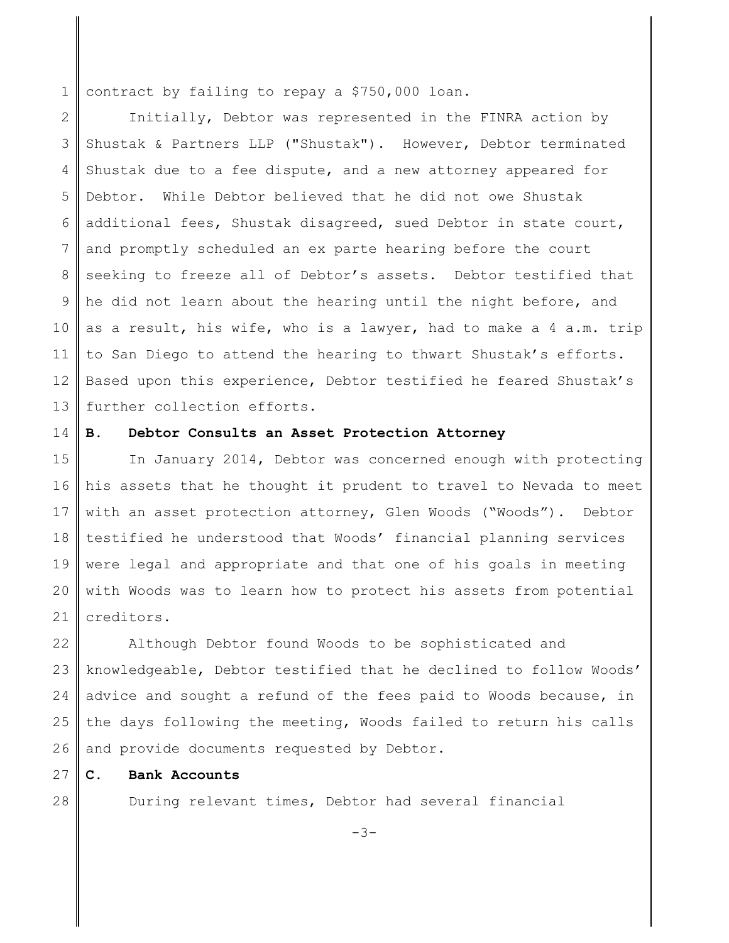1 contract by failing to repay a \$750,000 loan.

2 3 4 5 6 7 8 9 10 11 12 13 Initially, Debtor was represented in the FINRA action by Shustak & Partners LLP ("Shustak"). However, Debtor terminated Shustak due to a fee dispute, and a new attorney appeared for Debtor. While Debtor believed that he did not owe Shustak additional fees, Shustak disagreed, sued Debtor in state court, and promptly scheduled an ex parte hearing before the court seeking to freeze all of Debtor's assets. Debtor testified that he did not learn about the hearing until the night before, and as a result, his wife, who is a lawyer, had to make a 4 a.m. trip to San Diego to attend the hearing to thwart Shustak's efforts. Based upon this experience, Debtor testified he feared Shustak's further collection efforts.

#### 14 **B. Debtor Consults an Asset Protection Attorney**

15 16 17 18 19 20 21 In January 2014, Debtor was concerned enough with protecting his assets that he thought it prudent to travel to Nevada to meet with an asset protection attorney, Glen Woods ("Woods"). Debtor testified he understood that Woods' financial planning services were legal and appropriate and that one of his goals in meeting with Woods was to learn how to protect his assets from potential creditors.

22 23 24 25 26 Although Debtor found Woods to be sophisticated and knowledgeable, Debtor testified that he declined to follow Woods' advice and sought a refund of the fees paid to Woods because, in the days following the meeting, Woods failed to return his calls and provide documents requested by Debtor.

27 **C. Bank Accounts**

28

During relevant times, Debtor had several financial

-3-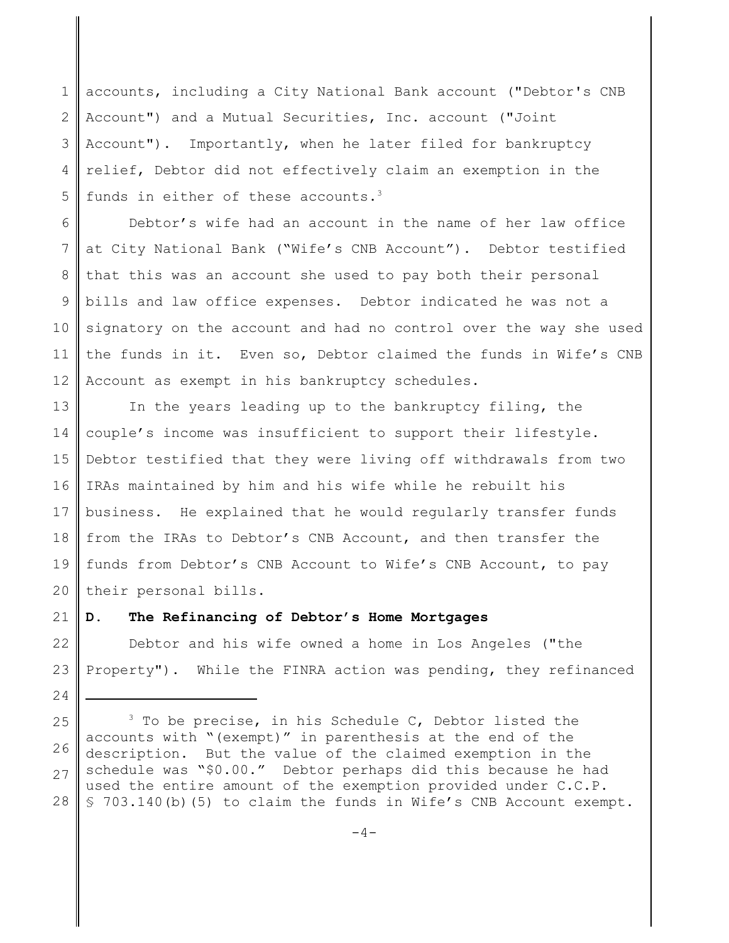1 2 3 4 5 accounts, including a City National Bank account ("Debtor's CNB Account") and a Mutual Securities, Inc. account ("Joint Account"). Importantly, when he later filed for bankruptcy relief, Debtor did not effectively claim an exemption in the funds in either of these accounts.<sup>3</sup>

6 7 8 9 10 11 12 Debtor's wife had an account in the name of her law office at City National Bank ("Wife's CNB Account"). Debtor testified that this was an account she used to pay both their personal bills and law office expenses. Debtor indicated he was not a signatory on the account and had no control over the way she used the funds in it. Even so, Debtor claimed the funds in Wife's CNB Account as exempt in his bankruptcy schedules.

13 14 15 16 17 18 19 20 In the years leading up to the bankruptcy filing, the couple's income was insufficient to support their lifestyle. Debtor testified that they were living off withdrawals from two IRAs maintained by him and his wife while he rebuilt his business. He explained that he would regularly transfer funds from the IRAs to Debtor's CNB Account, and then transfer the funds from Debtor's CNB Account to Wife's CNB Account, to pay their personal bills.

#### 21 **D. The Refinancing of Debtor's Home Mortgages**

24

22 23 Debtor and his wife owned a home in Los Angeles ("the Property"). While the FINRA action was pending, they refinanced

<sup>25</sup> 26 27 28  $3$  To be precise, in his Schedule C, Debtor listed the accounts with "(exempt)" in parenthesis at the end of the description. But the value of the claimed exemption in the schedule was "\$0.00." Debtor perhaps did this because he had used the entire amount of the exemption provided under C.C.P. § 703.140(b)(5) to claim the funds in Wife's CNB Account exempt.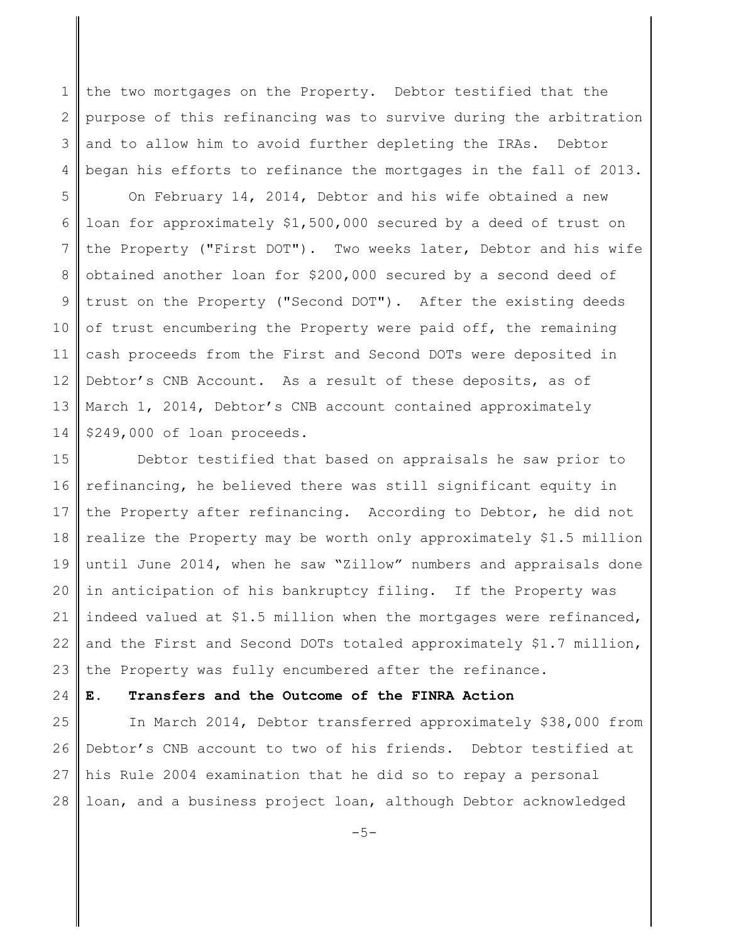1 2 3 4 the two mortgages on the Property. Debtor testified that the purpose of this refinancing was to survive during the arbitration and to allow him to avoid further depleting the IRAs. Debtor began his efforts to refinance the mortgages in the fall of 2013.

5 6 7 8 9 10 11 12 13 14 On February 14, 2014, Debtor and his wife obtained a new loan for approximately \$1,500,000 secured by a deed of trust on the Property ("First DOT"). Two weeks later, Debtor and his wife obtained another loan for \$200,000 secured by a second deed of trust on the Property ("Second DOT"). After the existing deeds of trust encumbering the Property were paid off, the remaining cash proceeds from the First and Second DOTs were deposited in Debtor's CNB Account. As a result of these deposits, as of March 1, 2014, Debtor's CNB account contained approximately \$249,000 of loan proceeds.

15 16 17 18 19 20 21 22 23 Debtor testified that based on appraisals he saw prior to refinancing, he believed there was still significant equity in the Property after refinancing. According to Debtor, he did not realize the Property may be worth only approximately \$1.5 million until June 2014, when he saw "Zillow" numbers and appraisals done in anticipation of his bankruptcy filing. If the Property was indeed valued at \$1.5 million when the mortgages were refinanced, and the First and Second DOTs totaled approximately \$1.7 million, the Property was fully encumbered after the refinance.

### 24 **E. Transfers and the Outcome of the FINRA Action**

25 26 27 28 In March 2014, Debtor transferred approximately \$38,000 from Debtor's CNB account to two of his friends. Debtor testified at his Rule 2004 examination that he did so to repay a personal loan, and a business project loan, although Debtor acknowledged

 $-5-$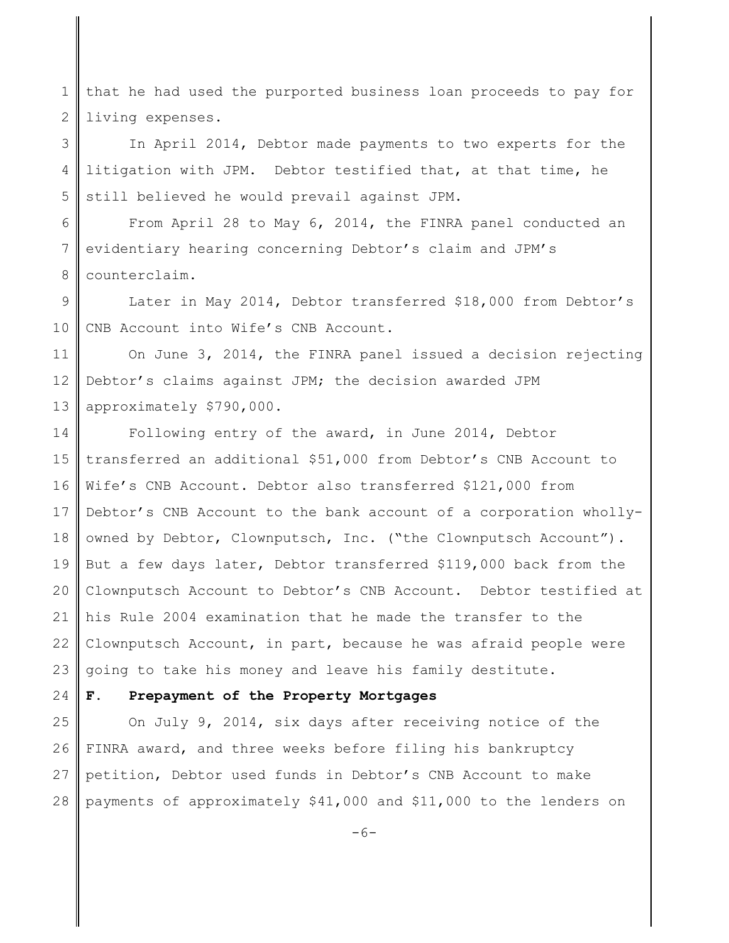1 2 that he had used the purported business loan proceeds to pay for living expenses.

3 4 5 In April 2014, Debtor made payments to two experts for the litigation with JPM. Debtor testified that, at that time, he still believed he would prevail against JPM.

6 7 8 From April 28 to May 6, 2014, the FINRA panel conducted an evidentiary hearing concerning Debtor's claim and JPM's counterclaim.

9 10 Later in May 2014, Debtor transferred \$18,000 from Debtor's CNB Account into Wife's CNB Account.

11 12 13 On June 3, 2014, the FINRA panel issued a decision rejecting Debtor's claims against JPM; the decision awarded JPM approximately \$790,000.

14 15 16 17 18 19 20 21 22 23 Following entry of the award, in June 2014, Debtor transferred an additional \$51,000 from Debtor's CNB Account to Wife's CNB Account. Debtor also transferred \$121,000 from Debtor's CNB Account to the bank account of a corporation whollyowned by Debtor, Clownputsch, Inc. ("the Clownputsch Account"). But a few days later, Debtor transferred \$119,000 back from the Clownputsch Account to Debtor's CNB Account. Debtor testified at his Rule 2004 examination that he made the transfer to the Clownputsch Account, in part, because he was afraid people were going to take his money and leave his family destitute.

#### 24 **F. Prepayment of the Property Mortgages**

25 26 27 28 On July 9, 2014, six days after receiving notice of the FINRA award, and three weeks before filing his bankruptcy petition, Debtor used funds in Debtor's CNB Account to make payments of approximately \$41,000 and \$11,000 to the lenders on

-6-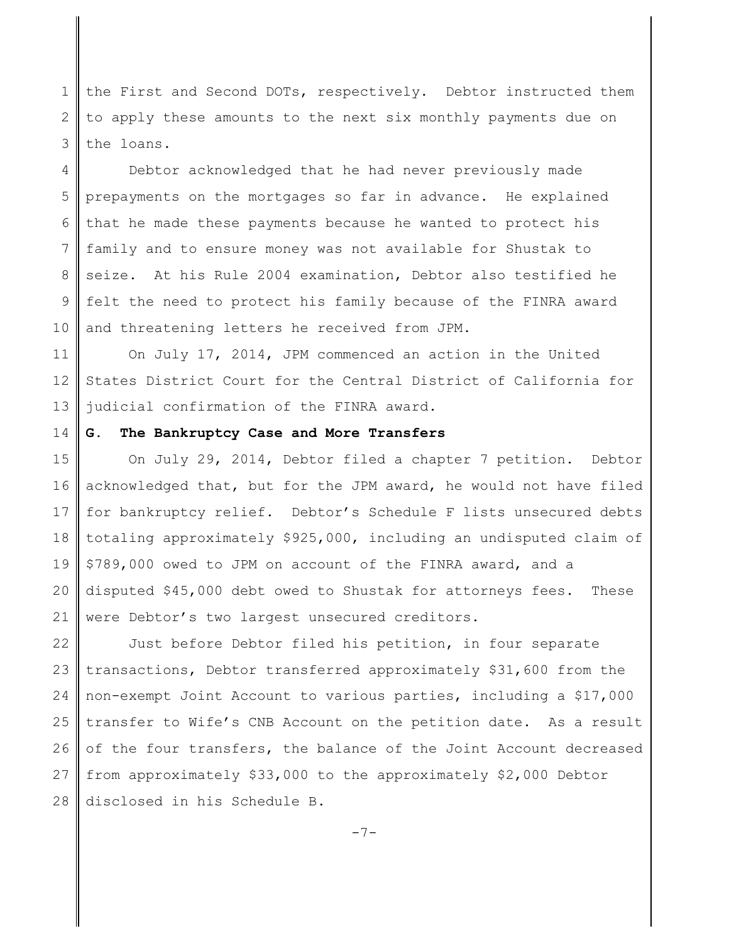1 2 3 the First and Second DOTs, respectively. Debtor instructed them to apply these amounts to the next six monthly payments due on the loans.

4 5 6 7 8 9 10 Debtor acknowledged that he had never previously made prepayments on the mortgages so far in advance. He explained that he made these payments because he wanted to protect his family and to ensure money was not available for Shustak to seize. At his Rule 2004 examination, Debtor also testified he felt the need to protect his family because of the FINRA award and threatening letters he received from JPM.

11 12 13 On July 17, 2014, JPM commenced an action in the United States District Court for the Central District of California for judicial confirmation of the FINRA award.

#### 14 **G. The Bankruptcy Case and More Transfers**

15 16 17 18 19 20 21 On July 29, 2014, Debtor filed a chapter 7 petition. Debtor acknowledged that, but for the JPM award, he would not have filed for bankruptcy relief. Debtor's Schedule F lists unsecured debts totaling approximately \$925,000, including an undisputed claim of \$789,000 owed to JPM on account of the FINRA award, and a disputed \$45,000 debt owed to Shustak for attorneys fees. These were Debtor's two largest unsecured creditors.

22 23 24 25 26 27 28 Just before Debtor filed his petition, in four separate transactions, Debtor transferred approximately \$31,600 from the non-exempt Joint Account to various parties, including a \$17,000 transfer to Wife's CNB Account on the petition date. As a result of the four transfers, the balance of the Joint Account decreased from approximately \$33,000 to the approximately \$2,000 Debtor disclosed in his Schedule B.

-7-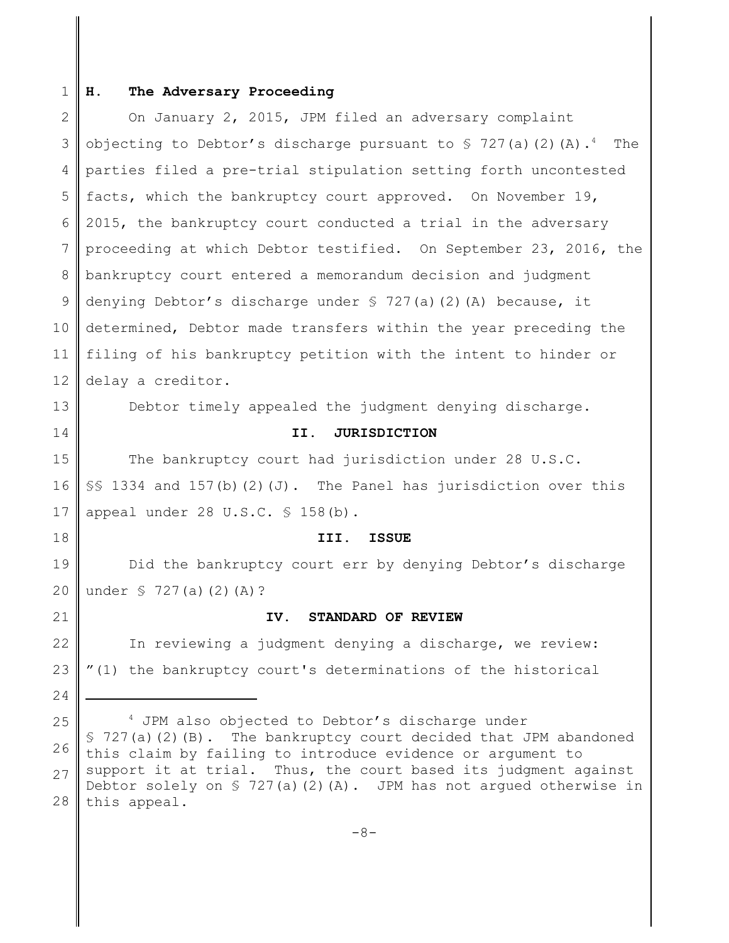#### 1 **H. The Adversary Proceeding**

2 3 4 5 6 7 8 9 10 11 12 On January 2, 2015, JPM filed an adversary complaint objecting to Debtor's discharge pursuant to  $\frac{1}{2}$  727(a)(2)(A).<sup>4</sup> The parties filed a pre-trial stipulation setting forth uncontested facts, which the bankruptcy court approved. On November 19, 2015, the bankruptcy court conducted a trial in the adversary proceeding at which Debtor testified. On September 23, 2016, the bankruptcy court entered a memorandum decision and judgment denying Debtor's discharge under § 727(a)(2)(A) because, it determined, Debtor made transfers within the year preceding the filing of his bankruptcy petition with the intent to hinder or delay a creditor.

13 14

Debtor timely appealed the judgment denying discharge.

# **II. JURISDICTION**

15 16 17 The bankruptcy court had jurisdiction under 28 U.S.C. §§ 1334 and 157(b)(2)(J). The Panel has jurisdiction over this appeal under  $28 \text{ U.S.C. }$   $\frac{6}{5}$  158(b).

**III. ISSUE**

19 20 Did the bankruptcy court err by denying Debtor's discharge under § 727(a)(2)(A)?

21

24

18

# **IV. STANDARD OF REVIEW**

22 23 In reviewing a judgment denying a discharge, we review: "(1) the bankruptcy court's determinations of the historical

25 26 27 28 <sup>4</sup> JPM also objected to Debtor's discharge under  $$ 727(a)(2)(B).$  The bankruptcy court decided that JPM abandoned this claim by failing to introduce evidence or argument to support it at trial. Thus, the court based its judgment against Debtor solely on  $\frac{1}{2}$  727(a)(2)(A). JPM has not argued otherwise in this appeal.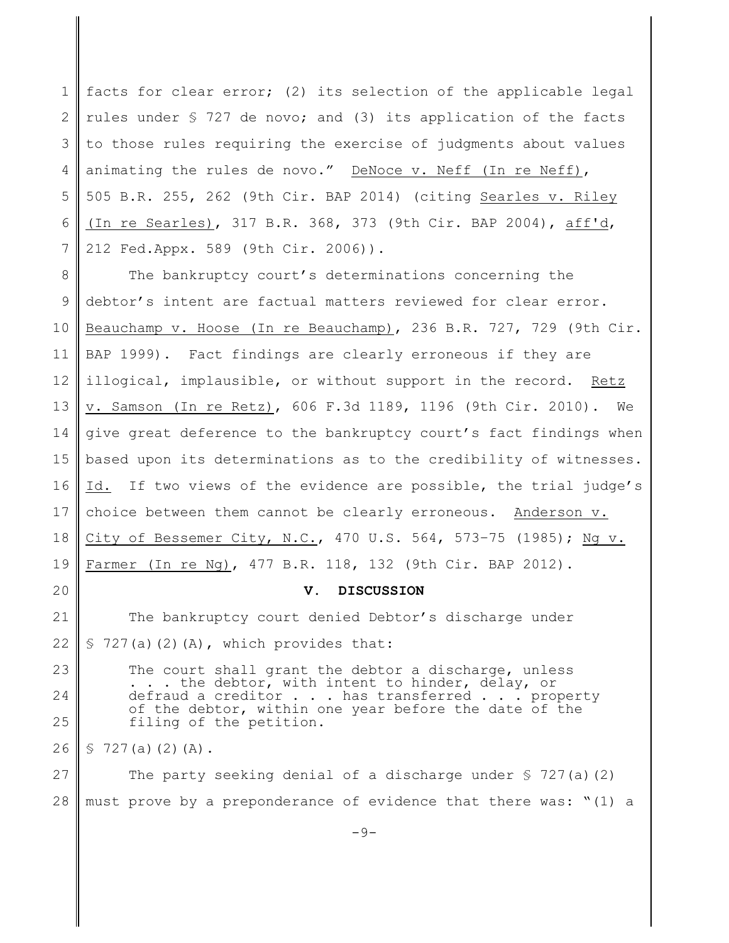1 2 3 4 5 6 7 facts for clear error; (2) its selection of the applicable legal rules under § 727 de novo; and (3) its application of the facts to those rules requiring the exercise of judgments about values animating the rules de novo." DeNoce v. Neff (In re Neff), 505 B.R. 255, 262 (9th Cir. BAP 2014) (citing Searles v. Riley (In re Searles), 317 B.R. 368, 373 (9th Cir. BAP 2004), aff'd, 212 Fed.Appx. 589 (9th Cir. 2006)).

8 9 10 11 12 13 14 15 16 17 18 19 The bankruptcy court's determinations concerning the debtor's intent are factual matters reviewed for clear error. Beauchamp v. Hoose (In re Beauchamp), 236 B.R. 727, 729 (9th Cir. BAP 1999). Fact findings are clearly erroneous if they are illogical, implausible, or without support in the record. Retz v. Samson (In re Retz), 606 F.3d 1189, 1196 (9th Cir. 2010). We give great deference to the bankruptcy court's fact findings when based upon its determinations as to the credibility of witnesses. Id. If two views of the evidence are possible, the trial judge's choice between them cannot be clearly erroneous. Anderson v. City of Bessemer City, N.C., 470 U.S. 564, 573–75 (1985); Ng v. Farmer (In re Ng), 477 B.R. 118, 132 (9th Cir. BAP 2012).

**V. DISCUSSION**

21 22 The bankruptcy court denied Debtor's discharge under  $$727(a)(2)(A)$ , which provides that:

23 24 25 The court shall grant the debtor a discharge, unless . . . the debtor, with intent to hinder, delay, or defraud a creditor . . . has transferred . . . property of the debtor, within one year before the date of the filing of the petition.

26  $$727(a)(2)(A).$ 

20

27 28 The party seeking denial of a discharge under  $\S$  727(a)(2) must prove by a preponderance of evidence that there was: "(1) a

-9-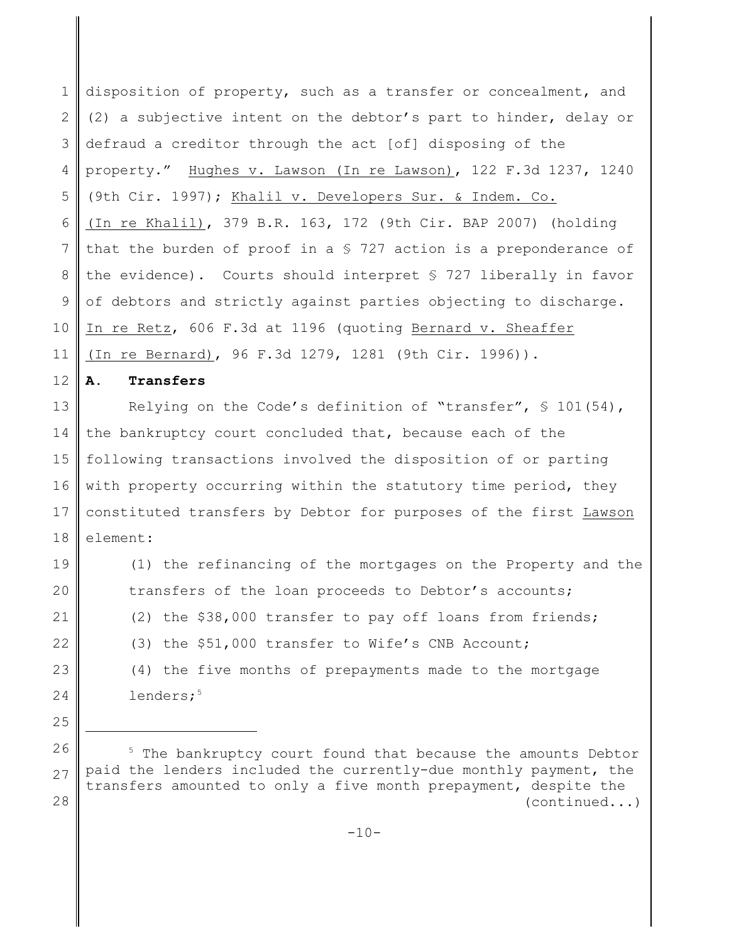1 2 3 4 5 6 7 8 9 10 11 disposition of property, such as a transfer or concealment, and (2) a subjective intent on the debtor's part to hinder, delay or defraud a creditor through the act [of] disposing of the property." Hughes v. Lawson (In re Lawson), 122 F.3d 1237, 1240 (9th Cir. 1997); Khalil v. Developers Sur. & Indem. Co. (In re Khalil), 379 B.R. 163, 172 (9th Cir. BAP 2007) (holding that the burden of proof in a § 727 action is a preponderance of the evidence). Courts should interpret § 727 liberally in favor of debtors and strictly against parties objecting to discharge. In re Retz, 606 F.3d at 1196 (quoting Bernard v. Sheaffer (In re Bernard), 96 F.3d 1279, 1281 (9th Cir. 1996)).

12 **A. Transfers** 

13 14 15 16 17 18 Relying on the Code's definition of "transfer", § 101(54), the bankruptcy court concluded that, because each of the following transactions involved the disposition of or parting with property occurring within the statutory time period, they constituted transfers by Debtor for purposes of the first Lawson element:

19 20 21 22 23 24 25 (1) the refinancing of the mortgages on the Property and the transfers of the loan proceeds to Debtor's accounts; (2) the \$38,000 transfer to pay off loans from friends; (3) the \$51,000 transfer to Wife's CNB Account; (4) the five months of prepayments made to the mortgage lenders;<sup>5</sup>

<sup>26</sup> 27 28 <sup>5</sup> The bankruptcy court found that because the amounts Debtor paid the lenders included the currently-due monthly payment, the transfers amounted to only a five month prepayment, despite the (continued...)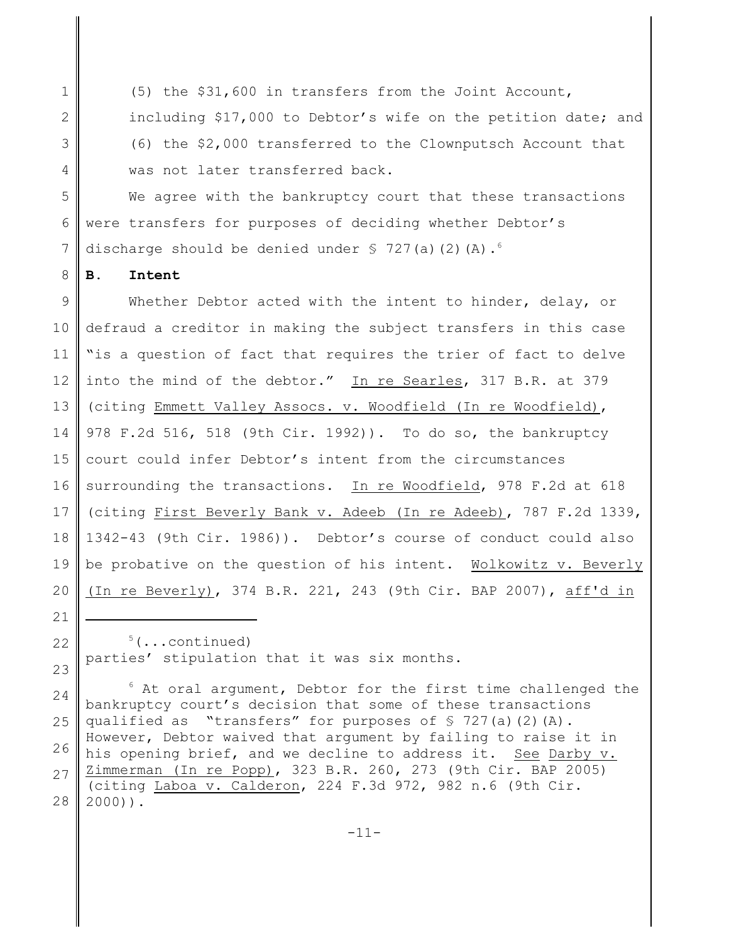1 2 3 4 (5) the \$31,600 in transfers from the Joint Account, including \$17,000 to Debtor's wife on the petition date; and (6) the \$2,000 transferred to the Clownputsch Account that was not later transferred back.

5 6 7 We agree with the bankruptcy court that these transactions were transfers for purposes of deciding whether Debtor's discharge should be denied under  $\frac{1}{2}$  727(a)(2)(A).<sup>6</sup>

8 **B. Intent**

21

9 10 11 12 13 14 15 16 17 18 19 20 Whether Debtor acted with the intent to hinder, delay, or defraud a creditor in making the subject transfers in this case "is a question of fact that requires the trier of fact to delve into the mind of the debtor." In re Searles, 317 B.R. at 379 (citing Emmett Valley Assocs. v. Woodfield (In re Woodfield), 978 F.2d 516, 518 (9th Cir. 1992)). To do so, the bankruptcy court could infer Debtor's intent from the circumstances surrounding the transactions. In re Woodfield, 978 F.2d at 618 (citing First Beverly Bank v. Adeeb (In re Adeeb), 787 F.2d 1339, 1342-43 (9th Cir. 1986)). Debtor's course of conduct could also be probative on the question of his intent. Wolkowitz v. Beverly (In re Beverly), 374 B.R. 221, 243 (9th Cir. BAP 2007), aff'd in

24 25 26 27 28  $6$  At oral argument, Debtor for the first time challenged the bankruptcy court's decision that some of these transactions qualified as "transfers" for purposes of  $\S$  727(a)(2)(A). However, Debtor waived that argument by failing to raise it in his opening brief, and we decline to address it. See Darby v. Zimmerman (In re Popp), 323 B.R. 260, 273 (9th Cir. BAP 2005) (citing Laboa v. Calderon, 224 F.3d 972, 982 n.6 (9th Cir. 2000)).

<sup>22</sup> 23  $5(\ldots$ continued) parties' stipulation that it was six months.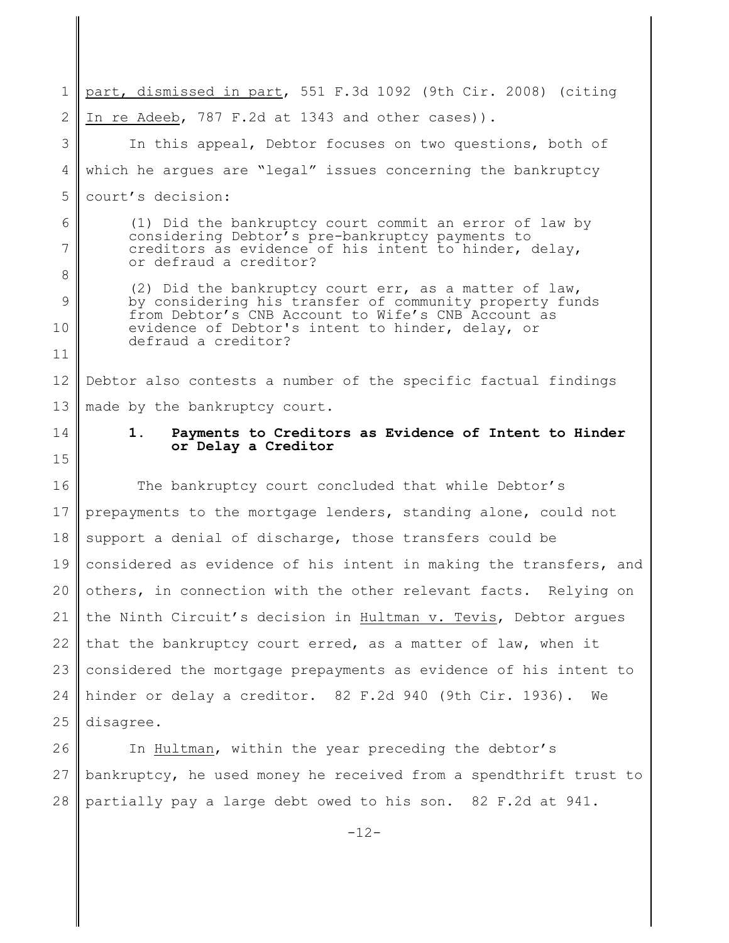1 2 3 4 5 6 7 8 9 10 11 12 13 part, dismissed in part, 551 F.3d 1092 (9th Cir. 2008) (citing In re Adeeb, 787 F.2d at 1343 and other cases)). In this appeal, Debtor focuses on two questions, both of which he argues are "legal" issues concerning the bankruptcy court's decision: (1) Did the bankruptcy court commit an error of law by considering Debtor's pre-bankruptcy payments to creditors as evidence of his intent to hinder, delay, or defraud a creditor? (2) Did the bankruptcy court err, as a matter of law, by considering his transfer of community property funds from Debtor's CNB Account to Wife's CNB Account as evidence of Debtor's intent to hinder, delay, or defraud a creditor? Debtor also contests a number of the specific factual findings made by the bankruptcy court.

14 15

# **1. Payments to Creditors as Evidence of Intent to Hinder or Delay a Creditor**

16 17 18 19 20 21 22 23 24 25 The bankruptcy court concluded that while Debtor's prepayments to the mortgage lenders, standing alone, could not support a denial of discharge, those transfers could be considered as evidence of his intent in making the transfers, and others, in connection with the other relevant facts. Relying on the Ninth Circuit's decision in Hultman v. Tevis, Debtor argues that the bankruptcy court erred, as a matter of law, when it considered the mortgage prepayments as evidence of his intent to hinder or delay a creditor. 82 F.2d 940 (9th Cir. 1936). We disagree.

26 27 28 In Hultman, within the year preceding the debtor's bankruptcy, he used money he received from a spendthrift trust to partially pay a large debt owed to his son. 82 F.2d at 941.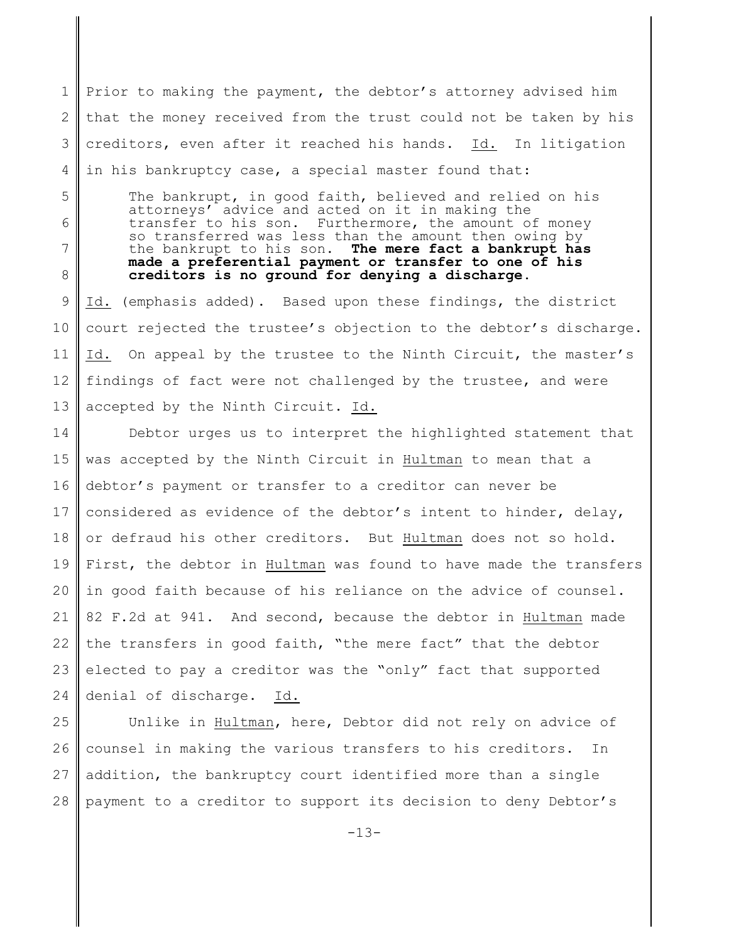1 2 3 4 Prior to making the payment, the debtor's attorney advised him that the money received from the trust could not be taken by his creditors, even after it reached his hands. Id. In litigation in his bankruptcy case, a special master found that:

5 6 7 8 The bankrupt, in good faith, believed and relied on his attorneys' advice and acted on it in making the transfer to his son. Furthermore, the amount of money so transferred was less than the amount then owing by the bankrupt to his son. **The mere fact a bankrupt has made a preferential payment or transfer to one of his creditors is no ground for denying a discharge**.

9 10 11 12 13 Id. (emphasis added). Based upon these findings, the district court rejected the trustee's objection to the debtor's discharge. Id. On appeal by the trustee to the Ninth Circuit, the master's findings of fact were not challenged by the trustee, and were accepted by the Ninth Circuit. Id.

14 15 16 17 18 19 20 21 22 23 24 Debtor urges us to interpret the highlighted statement that was accepted by the Ninth Circuit in Hultman to mean that a debtor's payment or transfer to a creditor can never be considered as evidence of the debtor's intent to hinder, delay, or defraud his other creditors. But Hultman does not so hold. First, the debtor in Hultman was found to have made the transfers in good faith because of his reliance on the advice of counsel. 82 F.2d at 941. And second, because the debtor in Hultman made the transfers in good faith, "the mere fact" that the debtor elected to pay a creditor was the "only" fact that supported denial of discharge. Id.

25 26 27 28 Unlike in Hultman, here, Debtor did not rely on advice of counsel in making the various transfers to his creditors. In addition, the bankruptcy court identified more than a single payment to a creditor to support its decision to deny Debtor's

-13-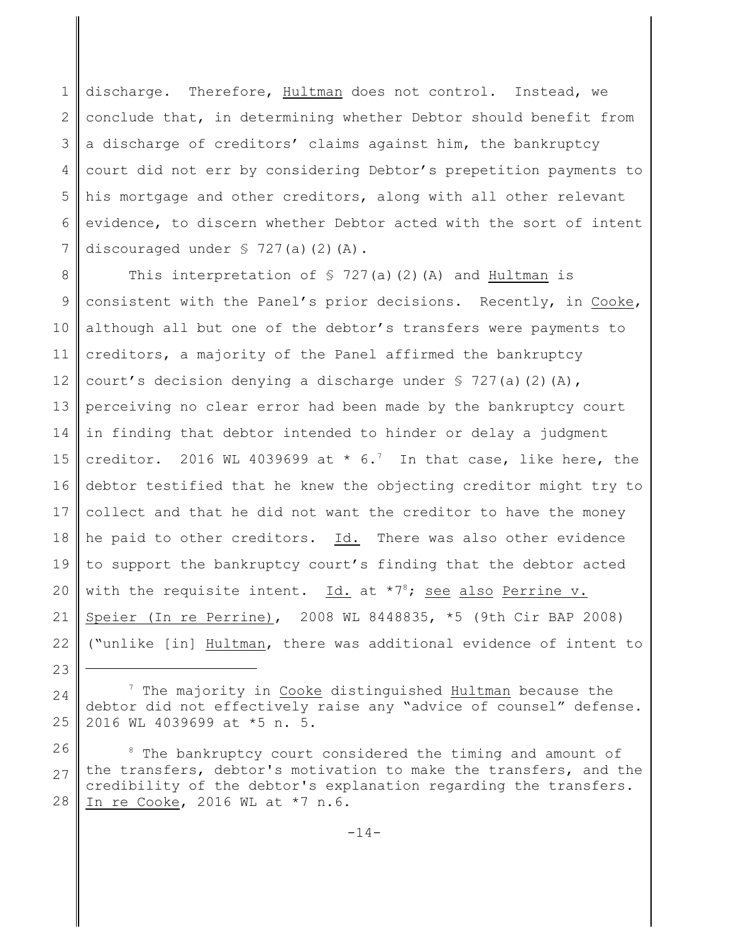1 2 3 4 5 6 7 discharge. Therefore, Hultman does not control. Instead, we conclude that, in determining whether Debtor should benefit from a discharge of creditors' claims against him, the bankruptcy court did not err by considering Debtor's prepetition payments to his mortgage and other creditors, along with all other relevant evidence, to discern whether Debtor acted with the sort of intent discouraged under  $$ 727(a)(2)(A)$ .

8 9 10 11 12 13 14 15 16 17 18 19 20 21 22 This interpretation of  $\frac{1}{2}$  727(a)(2)(A) and Hultman is consistent with the Panel's prior decisions. Recently, in Cooke, although all but one of the debtor's transfers were payments to creditors, a majority of the Panel affirmed the bankruptcy court's decision denying a discharge under  $\S$  727(a)(2)(A), perceiving no clear error had been made by the bankruptcy court in finding that debtor intended to hinder or delay a judgment creditor. 2016 WL 4039699 at  $*$  6.<sup>7</sup> In that case, like here, the debtor testified that he knew the objecting creditor might try to collect and that he did not want the creditor to have the money he paid to other creditors. Id. There was also other evidence to support the bankruptcy court's finding that the debtor acted with the requisite intent.  $Id.$  at  $*7<sup>8</sup>$ ; see also Perrine v. Speier (In re Perrine), 2008 WL 8448835, \*5 (9th Cir BAP 2008) ("unlike [in] Hultman, there was additional evidence of intent to

<sup>23</sup>

<sup>24</sup> 25  $7$  The majority in Cooke distinguished Hultman because the debtor did not effectively raise any "advice of counsel" defense. 2016 WL 4039699 at \*5 n. 5.

<sup>26</sup> 27 28 <sup>8</sup> The bankruptcy court considered the timing and amount of the transfers, debtor's motivation to make the transfers, and the credibility of the debtor's explanation regarding the transfers. In re Cooke, 2016 WL at \*7 n.6.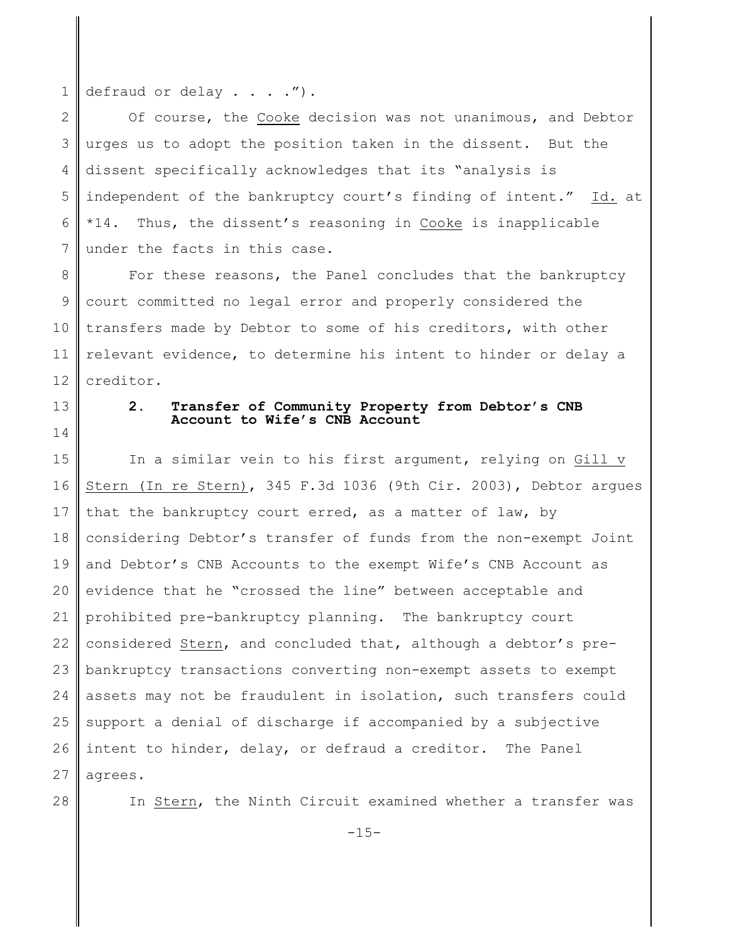1 defraud or delay . . . .").

2 3 4 5 6 7 Of course, the Cooke decision was not unanimous, and Debtor urges us to adopt the position taken in the dissent. But the dissent specifically acknowledges that its "analysis is independent of the bankruptcy court's finding of intent." Id. at \*14. Thus, the dissent's reasoning in Cooke is inapplicable under the facts in this case.

8 9 10 11 12 For these reasons, the Panel concludes that the bankruptcy court committed no legal error and properly considered the transfers made by Debtor to some of his creditors, with other relevant evidence, to determine his intent to hinder or delay a creditor.

13 14

## **2. Transfer of Community Property from Debtor's CNB Account to Wife's CNB Account**

15 16 17 18 19 20 21 22 23 24 25 26 27 In a similar vein to his first argument, relying on Gill v Stern (In re Stern), 345 F.3d 1036 (9th Cir. 2003), Debtor argues that the bankruptcy court erred, as a matter of law, by considering Debtor's transfer of funds from the non-exempt Joint and Debtor's CNB Accounts to the exempt Wife's CNB Account as evidence that he "crossed the line" between acceptable and prohibited pre-bankruptcy planning. The bankruptcy court considered Stern, and concluded that, although a debtor's prebankruptcy transactions converting non-exempt assets to exempt assets may not be fraudulent in isolation, such transfers could support a denial of discharge if accompanied by a subjective intent to hinder, delay, or defraud a creditor. The Panel agrees.

28

In Stern, the Ninth Circuit examined whether a transfer was

 $-15-$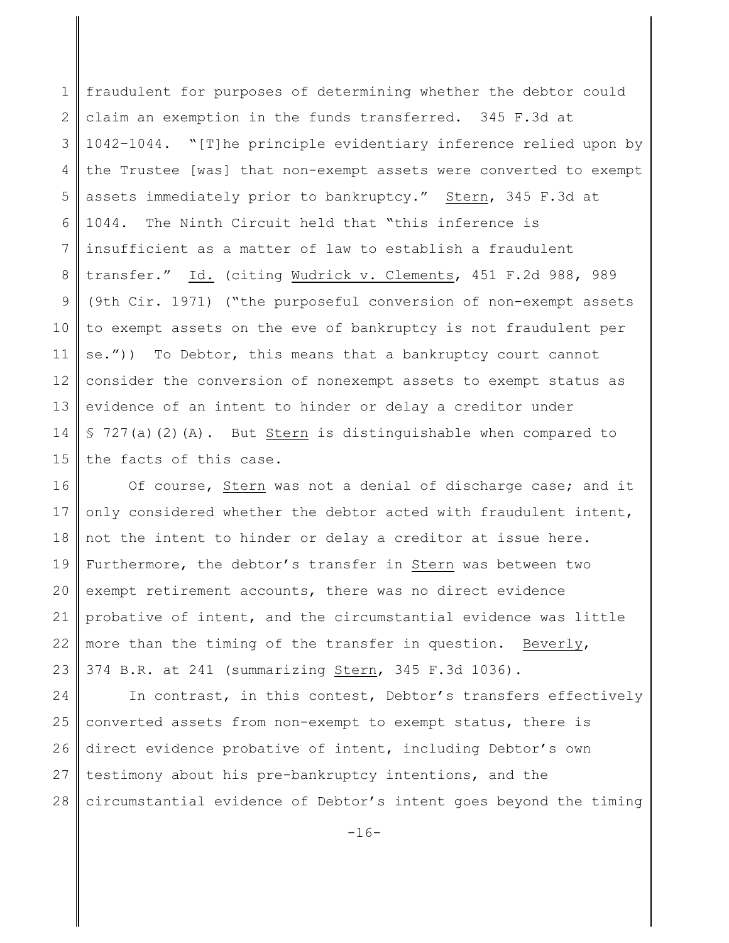1 2 3 4 5 6 7 8 9 10 11 12 13 14 15 fraudulent for purposes of determining whether the debtor could claim an exemption in the funds transferred. 345 F.3d at 1042–1044. "[T]he principle evidentiary inference relied upon by the Trustee [was] that non-exempt assets were converted to exempt assets immediately prior to bankruptcy." Stern, 345 F.3d at 1044. The Ninth Circuit held that "this inference is insufficient as a matter of law to establish a fraudulent transfer." Id. (citing Wudrick v. Clements, 451 F.2d 988, 989 (9th Cir. 1971) ("the purposeful conversion of non-exempt assets to exempt assets on the eve of bankruptcy is not fraudulent per se.")) To Debtor, this means that a bankruptcy court cannot consider the conversion of nonexempt assets to exempt status as evidence of an intent to hinder or delay a creditor under  $$ 727(a)(2)(A).$  But Stern is distinguishable when compared to the facts of this case.

16 17 18 19 20 21 22 23 Of course, Stern was not a denial of discharge case; and it only considered whether the debtor acted with fraudulent intent, not the intent to hinder or delay a creditor at issue here. Furthermore, the debtor's transfer in Stern was between two exempt retirement accounts, there was no direct evidence probative of intent, and the circumstantial evidence was little more than the timing of the transfer in question. Beverly, 374 B.R. at 241 (summarizing Stern, 345 F.3d 1036).

24 25 26 27 28 In contrast, in this contest, Debtor's transfers effectively converted assets from non-exempt to exempt status, there is direct evidence probative of intent, including Debtor's own testimony about his pre-bankruptcy intentions, and the circumstantial evidence of Debtor's intent goes beyond the timing

 $-16-$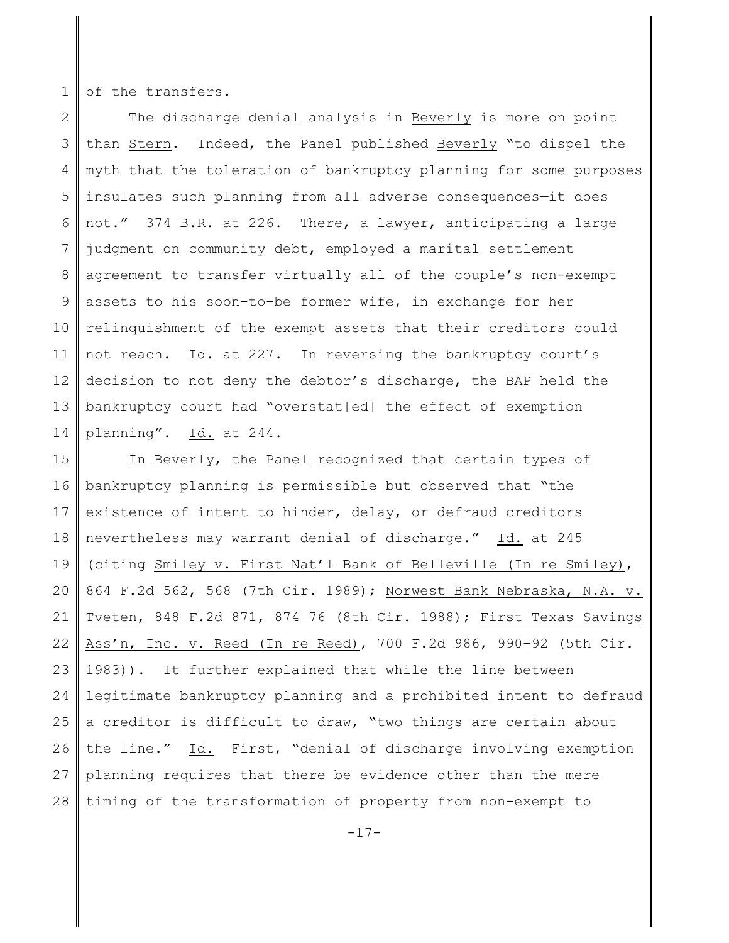1 of the transfers.

2 3 4 5 6 7 8 9 10 11 12 13 14 The discharge denial analysis in Beverly is more on point than Stern. Indeed, the Panel published Beverly "to dispel the myth that the toleration of bankruptcy planning for some purposes insulates such planning from all adverse consequences—it does not." 374 B.R. at 226. There, a lawyer, anticipating a large judgment on community debt, employed a marital settlement agreement to transfer virtually all of the couple's non-exempt assets to his soon-to-be former wife, in exchange for her relinquishment of the exempt assets that their creditors could not reach. Id. at 227. In reversing the bankruptcy court's decision to not deny the debtor's discharge, the BAP held the bankruptcy court had "overstat[ed] the effect of exemption planning". Id. at 244.

15 16 17 18 19 20 21 22 23 24 25 26 27 28 In Beverly, the Panel recognized that certain types of bankruptcy planning is permissible but observed that "the existence of intent to hinder, delay, or defraud creditors nevertheless may warrant denial of discharge." Id. at 245 (citing Smiley v. First Nat'l Bank of Belleville (In re Smiley), 864 F.2d 562, 568 (7th Cir. 1989); Norwest Bank Nebraska, N.A. v. Tveten, 848 F.2d 871, 874–76 (8th Cir. 1988); First Texas Savings Ass'n, Inc. v. Reed (In re Reed), 700 F.2d 986, 990–92 (5th Cir. 1983)). It further explained that while the line between legitimate bankruptcy planning and a prohibited intent to defraud a creditor is difficult to draw, "two things are certain about the line." Id. First, "denial of discharge involving exemption planning requires that there be evidence other than the mere timing of the transformation of property from non-exempt to

 $-17-$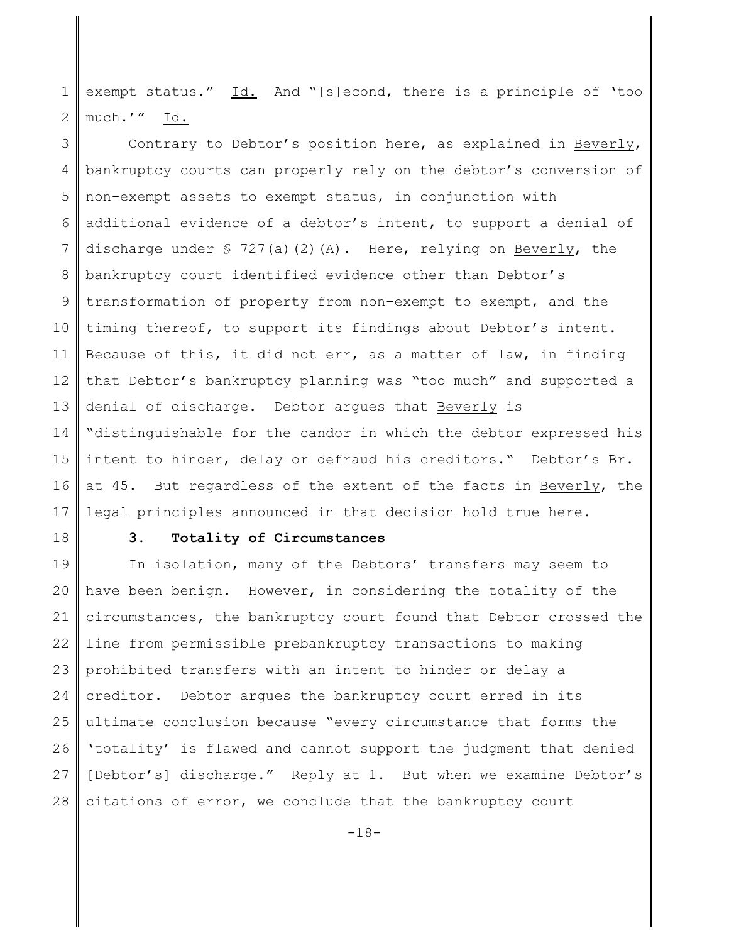1 2 exempt status." Id. And "[s]econd, there is a principle of 'too much.'" Id.

3 4 5 6 7 8 9 10 11 12 13 14 15 16 17 Contrary to Debtor's position here, as explained in Beverly, bankruptcy courts can properly rely on the debtor's conversion of non-exempt assets to exempt status, in conjunction with additional evidence of a debtor's intent, to support a denial of discharge under § 727(a)(2)(A). Here, relying on Beverly, the bankruptcy court identified evidence other than Debtor's transformation of property from non-exempt to exempt, and the timing thereof, to support its findings about Debtor's intent. Because of this, it did not err, as a matter of law, in finding that Debtor's bankruptcy planning was "too much" and supported a denial of discharge. Debtor argues that Beverly is "distinguishable for the candor in which the debtor expressed his intent to hinder, delay or defraud his creditors." Debtor's Br. at 45. But regardless of the extent of the facts in Beverly, the legal principles announced in that decision hold true here.

18

# **3. Totality of Circumstances**

19 20 21 22 23 24 25 26 27 28 In isolation, many of the Debtors' transfers may seem to have been benign. However, in considering the totality of the circumstances, the bankruptcy court found that Debtor crossed the line from permissible prebankruptcy transactions to making prohibited transfers with an intent to hinder or delay a creditor. Debtor argues the bankruptcy court erred in its ultimate conclusion because "every circumstance that forms the 'totality' is flawed and cannot support the judgment that denied [Debtor's] discharge." Reply at 1. But when we examine Debtor's citations of error, we conclude that the bankruptcy court

-18-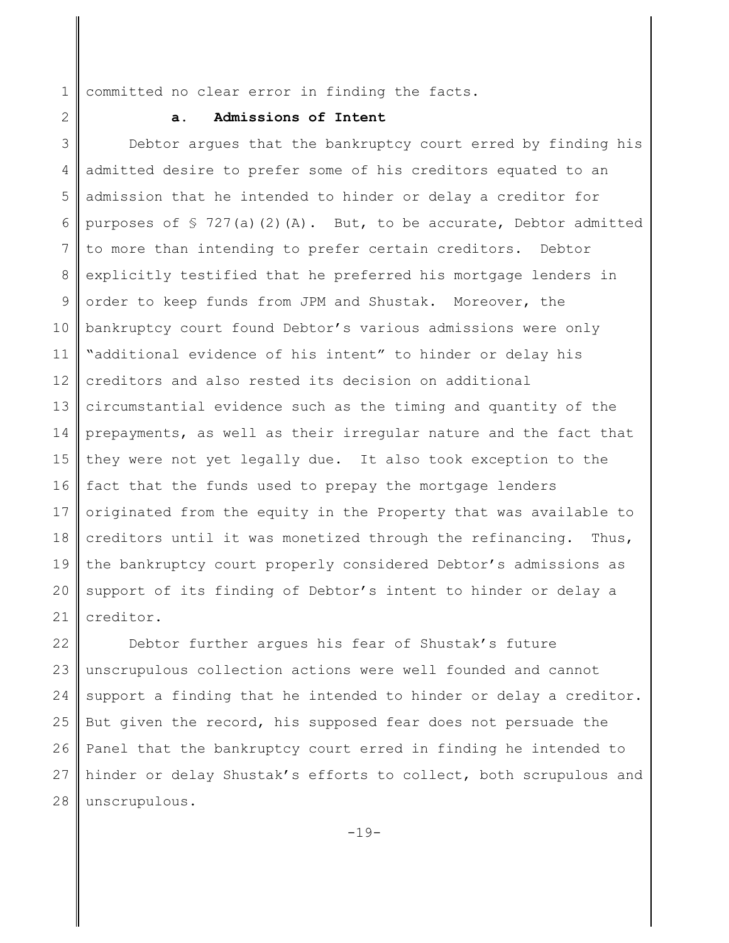1 committed no clear error in finding the facts.

2

# **a. Admissions of Intent**

3 4 5 6 7 8 9 10 11 12 13 14 15 16 17 18 19 20 21 Debtor argues that the bankruptcy court erred by finding his admitted desire to prefer some of his creditors equated to an admission that he intended to hinder or delay a creditor for purposes of  $\frac{1}{2}$  727(a)(2)(A). But, to be accurate, Debtor admitted to more than intending to prefer certain creditors. Debtor explicitly testified that he preferred his mortgage lenders in order to keep funds from JPM and Shustak. Moreover, the bankruptcy court found Debtor's various admissions were only "additional evidence of his intent" to hinder or delay his creditors and also rested its decision on additional circumstantial evidence such as the timing and quantity of the prepayments, as well as their irregular nature and the fact that they were not yet legally due. It also took exception to the fact that the funds used to prepay the mortgage lenders originated from the equity in the Property that was available to creditors until it was monetized through the refinancing. Thus, the bankruptcy court properly considered Debtor's admissions as support of its finding of Debtor's intent to hinder or delay a creditor.

22 23 24 25 26 27 28 Debtor further argues his fear of Shustak's future unscrupulous collection actions were well founded and cannot support a finding that he intended to hinder or delay a creditor. But given the record, his supposed fear does not persuade the Panel that the bankruptcy court erred in finding he intended to hinder or delay Shustak's efforts to collect, both scrupulous and unscrupulous.

-19-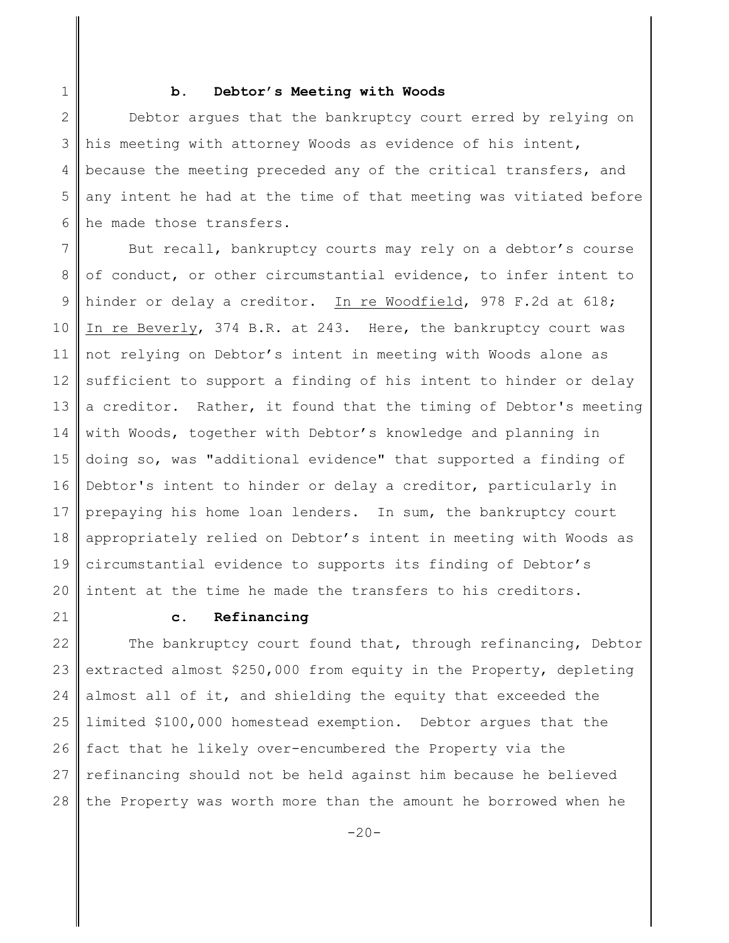1

### **b. Debtor's Meeting with Woods**

2 3 4 5 6 Debtor argues that the bankruptcy court erred by relying on his meeting with attorney Woods as evidence of his intent, because the meeting preceded any of the critical transfers, and any intent he had at the time of that meeting was vitiated before he made those transfers.

7 8 9 10 11 12 13 14 15 16 17 18 19 20 But recall, bankruptcy courts may rely on a debtor's course of conduct, or other circumstantial evidence, to infer intent to hinder or delay a creditor. In re Woodfield, 978 F.2d at 618; In re Beverly, 374 B.R. at 243. Here, the bankruptcy court was not relying on Debtor's intent in meeting with Woods alone as sufficient to support a finding of his intent to hinder or delay a creditor. Rather, it found that the timing of Debtor's meeting with Woods, together with Debtor's knowledge and planning in doing so, was "additional evidence" that supported a finding of Debtor's intent to hinder or delay a creditor, particularly in prepaying his home loan lenders. In sum, the bankruptcy court appropriately relied on Debtor's intent in meeting with Woods as circumstantial evidence to supports its finding of Debtor's intent at the time he made the transfers to his creditors.

21

# **c. Refinancing**

22 23 24 25 26 27 28 The bankruptcy court found that, through refinancing, Debtor extracted almost \$250,000 from equity in the Property, depleting almost all of it, and shielding the equity that exceeded the limited \$100,000 homestead exemption. Debtor argues that the fact that he likely over-encumbered the Property via the refinancing should not be held against him because he believed the Property was worth more than the amount he borrowed when he

 $-20-$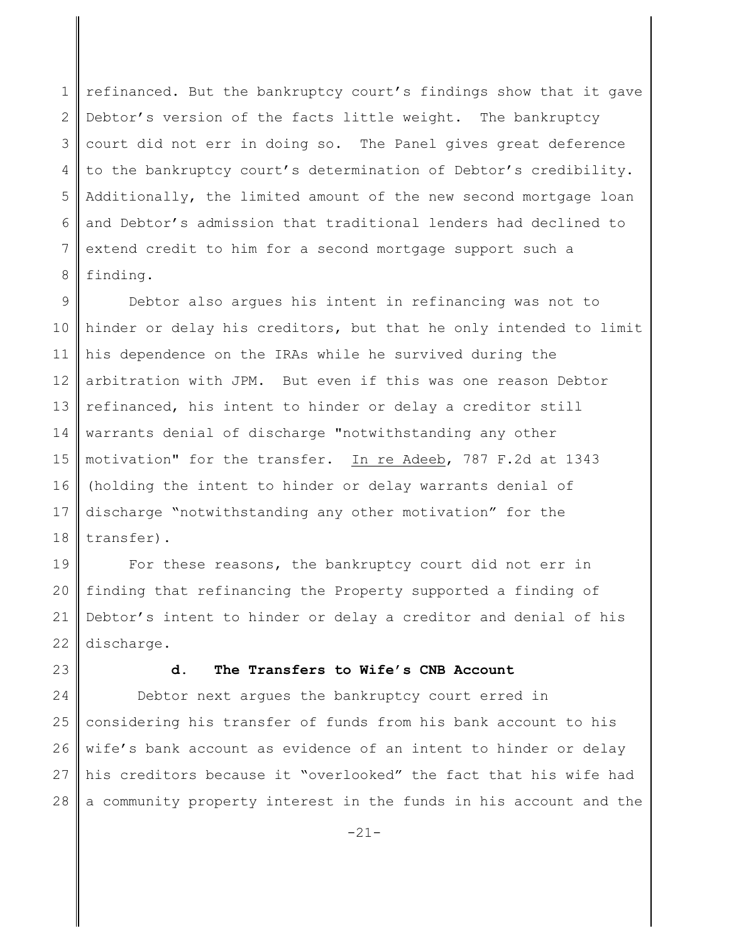1 2 3 4 5 6 7 8 refinanced. But the bankruptcy court's findings show that it gave Debtor's version of the facts little weight. The bankruptcy court did not err in doing so. The Panel gives great deference to the bankruptcy court's determination of Debtor's credibility. Additionally, the limited amount of the new second mortgage loan and Debtor's admission that traditional lenders had declined to extend credit to him for a second mortgage support such a finding.

9 10 11 12 13 14 15 16 17 18 Debtor also argues his intent in refinancing was not to hinder or delay his creditors, but that he only intended to limit his dependence on the IRAs while he survived during the arbitration with JPM. But even if this was one reason Debtor refinanced, his intent to hinder or delay a creditor still warrants denial of discharge "notwithstanding any other motivation" for the transfer. In re Adeeb, 787 F.2d at 1343 (holding the intent to hinder or delay warrants denial of discharge "notwithstanding any other motivation" for the transfer).

19 20 21 22 For these reasons, the bankruptcy court did not err in finding that refinancing the Property supported a finding of Debtor's intent to hinder or delay a creditor and denial of his discharge.

23

## **d. The Transfers to Wife's CNB Account**

24 25 26 27 28 Debtor next argues the bankruptcy court erred in considering his transfer of funds from his bank account to his wife's bank account as evidence of an intent to hinder or delay his creditors because it "overlooked" the fact that his wife had a community property interest in the funds in his account and the

-21-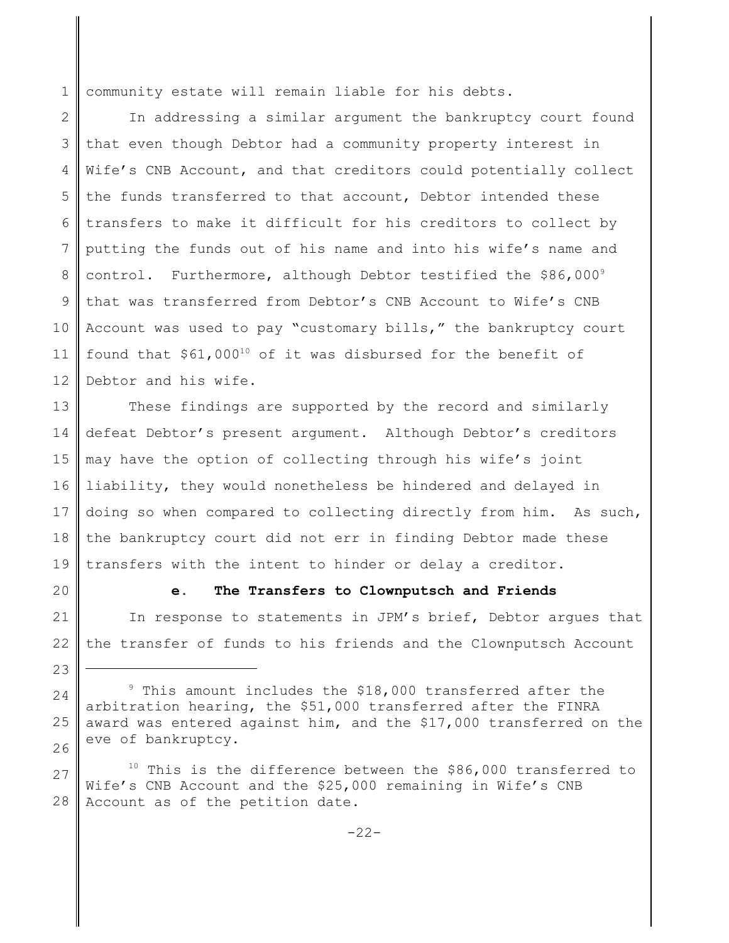1 community estate will remain liable for his debts.

2 3 4 5 6 7 8 9 10 11 12 In addressing a similar argument the bankruptcy court found that even though Debtor had a community property interest in Wife's CNB Account, and that creditors could potentially collect the funds transferred to that account, Debtor intended these transfers to make it difficult for his creditors to collect by putting the funds out of his name and into his wife's name and control. Furthermore, although Debtor testified the \$86,0009 that was transferred from Debtor's CNB Account to Wife's CNB Account was used to pay "customary bills," the bankruptcy court found that  $$61,000^{10}$  of it was disbursed for the benefit of Debtor and his wife.

13 14 15 16 17 18 19 These findings are supported by the record and similarly defeat Debtor's present argument. Although Debtor's creditors may have the option of collecting through his wife's joint liability, they would nonetheless be hindered and delayed in doing so when compared to collecting directly from him. As such, the bankruptcy court did not err in finding Debtor made these transfers with the intent to hinder or delay a creditor.

20

23

# **e. The Transfers to Clownputsch and Friends**

21 22 In response to statements in JPM's brief, Debtor argues that the transfer of funds to his friends and the Clownputsch Account

27 28  $10$  This is the difference between the \$86,000 transferred to Wife's CNB Account and the \$25,000 remaining in Wife's CNB Account as of the petition date.

<sup>24</sup> 25 26 <sup>9</sup> This amount includes the \$18,000 transferred after the arbitration hearing, the \$51,000 transferred after the FINRA award was entered against him, and the \$17,000 transferred on the eve of bankruptcy.